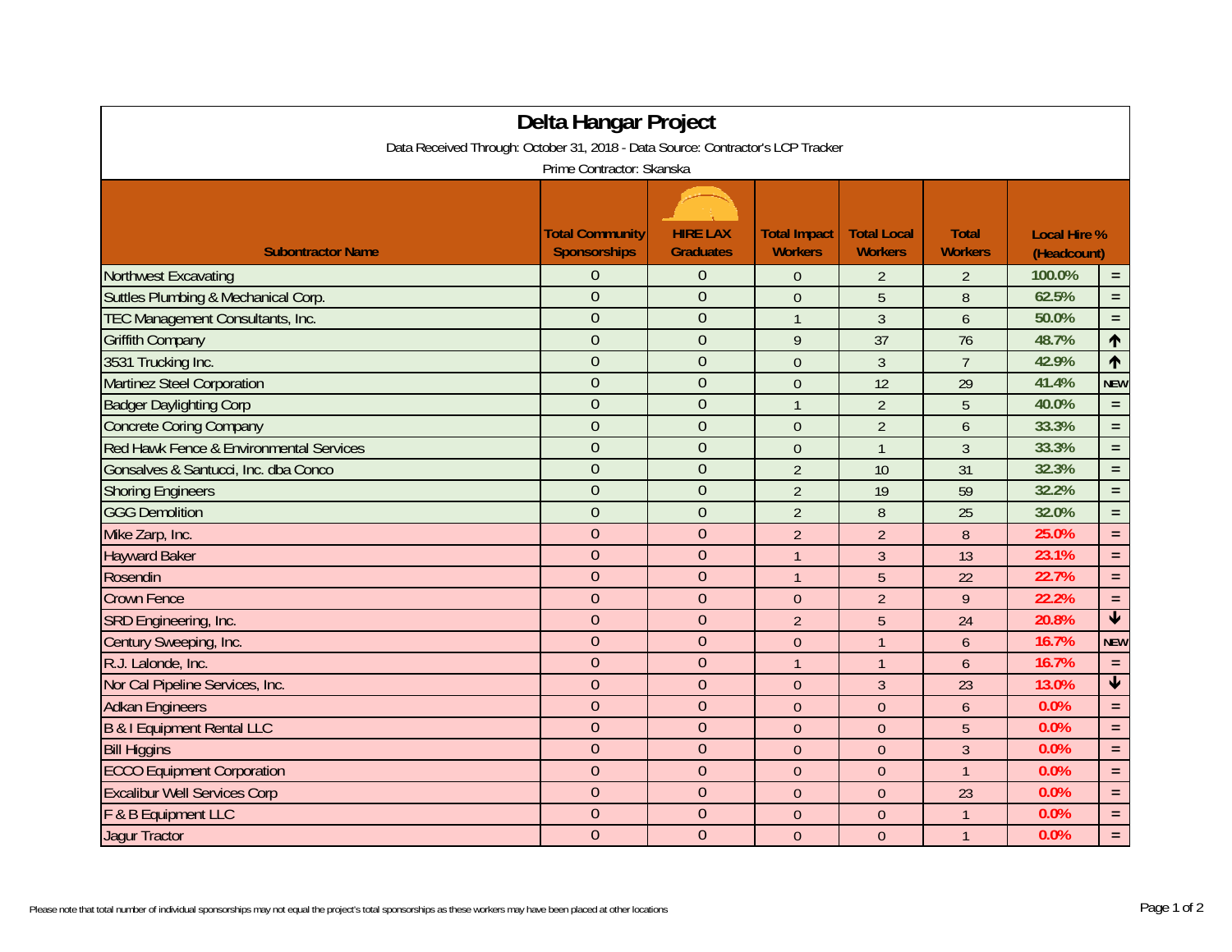| Delta Hangar Project                                                                                         |                        |                  |                     |                    |                |             |                         |  |  |  |  |  |
|--------------------------------------------------------------------------------------------------------------|------------------------|------------------|---------------------|--------------------|----------------|-------------|-------------------------|--|--|--|--|--|
| Data Received Through: October 31, 2018 - Data Source: Contractor's LCP Tracker<br>Prime Contractor: Skanska |                        |                  |                     |                    |                |             |                         |  |  |  |  |  |
|                                                                                                              |                        |                  |                     |                    |                |             |                         |  |  |  |  |  |
|                                                                                                              |                        |                  |                     |                    |                |             |                         |  |  |  |  |  |
|                                                                                                              | <b>Total Community</b> | <b>HIRE LAX</b>  | <b>Total Impact</b> | <b>Total Local</b> | <b>Total</b>   |             | <b>Local Hire %</b>     |  |  |  |  |  |
| <b>Subontractor Name</b>                                                                                     | <b>Sponsorships</b>    | <b>Graduates</b> | <b>Workers</b>      | <b>Workers</b>     | <b>Workers</b> | (Headcount) |                         |  |  |  |  |  |
| <b>Northwest Excavating</b>                                                                                  | $\overline{0}$         | $\Omega$         | $\theta$            | $\overline{2}$     | $\overline{2}$ | 100.0%      | $\equiv$                |  |  |  |  |  |
| Suttles Plumbing & Mechanical Corp.                                                                          | $\overline{0}$         | $\theta$         | $\mathbf{0}$        | 5                  | 8              | 62.5%       | $\equiv$                |  |  |  |  |  |
| TEC Management Consultants, Inc.                                                                             | $\overline{0}$         | $\theta$         | $\mathbf{1}$        | $\mathfrak{Z}$     | 6              | 50.0%       | $\equiv$                |  |  |  |  |  |
| <b>Griffith Company</b>                                                                                      | $\overline{0}$         | $\theta$         | 9                   | 37                 | 76             | 48.7%       | $\uparrow$              |  |  |  |  |  |
| 3531 Trucking Inc.                                                                                           | $\overline{0}$         | $\overline{0}$   | $\theta$            | $\mathfrak{Z}$     | $\overline{7}$ | 42.9%       | $\uparrow$              |  |  |  |  |  |
| <b>Martinez Steel Corporation</b>                                                                            | $\overline{0}$         | $\overline{0}$   | $\mathbf{0}$        | 12                 | 29             | 41.4%       | <b>NEW</b>              |  |  |  |  |  |
| <b>Badger Daylighting Corp</b>                                                                               | $\overline{0}$         | $\overline{0}$   | $\mathbf{1}$        | $\overline{2}$     | $\overline{5}$ | 40.0%       | $\equiv$                |  |  |  |  |  |
| <b>Concrete Coring Company</b>                                                                               | $\mathbf{0}$           | $\theta$         | $\mathbf{0}$        | $\overline{2}$     | 6              | 33.3%       | $\equiv$                |  |  |  |  |  |
| Red Hawk Fence & Environmental Services                                                                      | $\overline{0}$         | $\mathbf{0}$     | $\theta$            | $\overline{1}$     | $\overline{3}$ | 33.3%       | $\equiv$                |  |  |  |  |  |
| Gonsalves & Santucci, Inc. dba Conco                                                                         | $\overline{0}$         | $\overline{0}$   | $\overline{2}$      | 10                 | 31             | 32.3%       | $\equiv$                |  |  |  |  |  |
| <b>Shoring Engineers</b>                                                                                     | $\overline{0}$         | $\overline{0}$   | $\overline{2}$      | 19                 | 59             | 32.2%       | $\equiv$                |  |  |  |  |  |
| <b>GGG Demolition</b>                                                                                        | $\overline{0}$         | $\overline{0}$   | $\overline{2}$      | 8                  | 25             | 32.0%       | $\equiv$                |  |  |  |  |  |
| Mike Zarp, Inc.                                                                                              | $\overline{0}$         | $\overline{0}$   | $\overline{2}$      | $\overline{2}$     | 8              | 25.0%       | $\equiv$                |  |  |  |  |  |
| <b>Hayward Baker</b>                                                                                         | $\mathbf{0}$           | $\overline{0}$   | $\mathbf{1}$        | $\overline{3}$     | 13             | 23.1%       | $\equiv$                |  |  |  |  |  |
| Rosendin                                                                                                     | $\overline{0}$         | $\theta$         | $\mathbf{1}$        | 5                  | 22             | 22.7%       | $\equiv$                |  |  |  |  |  |
| <b>Crown Fence</b>                                                                                           | $\overline{0}$         | $\overline{0}$   | $\theta$            | $\overline{2}$     | 9              | 22.2%       | $\equiv$                |  |  |  |  |  |
| SRD Engineering, Inc.                                                                                        | $\overline{0}$         | $\theta$         | $\overline{2}$      | 5                  | 24             | 20.8%       | $\overline{\textbf{v}}$ |  |  |  |  |  |
| Century Sweeping, Inc.                                                                                       | $\overline{0}$         | $\overline{0}$   | $\theta$            | $\mathbf{1}$       | $\overline{6}$ | 16.7%       | <b>NEW</b>              |  |  |  |  |  |
| R.J. Lalonde, Inc.                                                                                           | $\boldsymbol{0}$       | $\overline{0}$   | $\mathbf{1}$        | $\overline{1}$     | $\overline{6}$ | 16.7%       | $\equiv$                |  |  |  |  |  |
| Nor Cal Pipeline Services, Inc.                                                                              | $\overline{0}$         | $\theta$         | $\theta$            | $\mathfrak{Z}$     | 23             | 13.0%       | $\overline{\textbf{t}}$ |  |  |  |  |  |
| <b>Adkan Engineers</b>                                                                                       | $\overline{0}$         | $\theta$         | $\theta$            | $\theta$           | 6              | 0.0%        | $\equiv$                |  |  |  |  |  |
| <b>B &amp; I Equipment Rental LLC</b>                                                                        | $\overline{0}$         | $\overline{0}$   | $\theta$            | $\theta$           | 5              | 0.0%        | $\equiv$                |  |  |  |  |  |
| <b>Bill Higgins</b>                                                                                          | $\overline{0}$         | $\overline{0}$   | $\theta$            | $\mathbf{0}$       | $\overline{3}$ | 0.0%        | $\equiv$                |  |  |  |  |  |
| <b>ECCO Equipment Corporation</b>                                                                            | $\overline{0}$         | $\Omega$         | $\theta$            | $\overline{0}$     | $\overline{1}$ | 0.0%        | $\equiv$                |  |  |  |  |  |
| <b>Excalibur Well Services Corp</b>                                                                          | $\overline{0}$         | $\theta$         | $\theta$            | $\theta$           | 23             | 0.0%        | $\equiv$                |  |  |  |  |  |
| F & B Equipment LLC                                                                                          | $\overline{0}$         | $\overline{0}$   | $\theta$            | $\theta$           | $\overline{1}$ | 0.0%        | $\equiv$                |  |  |  |  |  |
| <b>Jaqur Tractor</b>                                                                                         | $\overline{0}$         | $\theta$         | $\theta$            | $\mathbf{0}$       | $\overline{1}$ | 0.0%        | $\equiv$                |  |  |  |  |  |